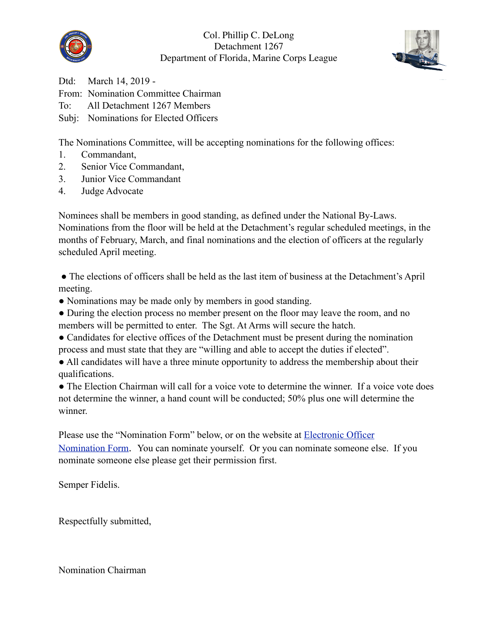



Dtd: March 14, 2019 - From: Nomination Committee Chairman To: All Detachment 1267 Members Subj: Nominations for Elected Officers

The Nominations Committee, will be accepting nominations for the following offices:

- 1. Commandant,
- 2. Senior Vice Commandant,
- 3. Junior Vice Commandant
- 4. Judge Advocate

Nominees shall be members in good standing, as defined under the National By-Laws. Nominations from the floor will be held at the Detachment's regular scheduled meetings, in the months of February, March, and final nominations and the election of officers at the regularly scheduled April meeting.

● The elections of officers shall be held as the last item of business at the Detachment's April meeting.

• Nominations may be made only by members in good standing.

• During the election process no member present on the floor may leave the room, and no members will be permitted to enter. The Sgt. At Arms will secure the hatch.

• Candidates for elective offices of the Detachment must be present during the nomination process and must state that they are "willing and able to accept the duties if elected".

● All candidates will have a three minute opportunity to address the membership about their qualifications.

● The Election Chairman will call for a voice vote to determine the winner. If a voice vote does not determine the winner, a hand count will be conducted; 50% plus one will determine the winner.

Please use the "Nomination Form" below, or on the website at [Electronic Officer](https://www.mcl1267.org/electronic-officer-nominations-form)  [Nomination Form](https://www.mcl1267.org/electronic-officer-nominations-form). You can nominate yourself. Or you can nominate someone else. If you nominate someone else please get their permission first.

Semper Fidelis.

Respectfully submitted,

Nomination Chairman